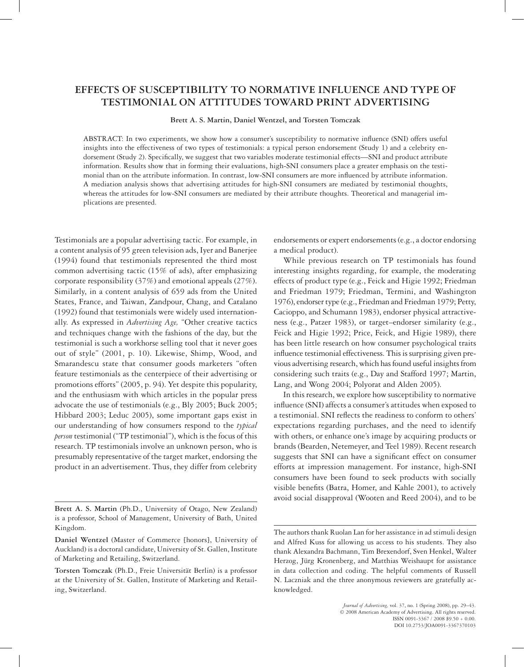# **EFFECTS OF SUSCEPTIBILITY TO NORMATIVE INFLUENCE AND TYPE OF TESTIMONIAL ON ATTITUDES TOWARD PRINT ADVERTISING**

**Brett A. S. Martin, Daniel Wentzel, and Torsten Tomczak**

ABSTRACT: In two experiments, we show how a consumer's susceptibility to normative influence (SNI) offers useful insights into the effectiveness of two types of testimonials: a typical person endorsement (Study 1) and a celebrity endorsement (Study 2). Specifically, we suggest that two variables moderate testimonial effects—SNI and product attribute information. Results show that in forming their evaluations, high-SNI consumers place a greater emphasis on the testimonial than on the attribute information. In contrast, low-SNI consumers are more influenced by attribute information. A mediation analysis shows that advertising attitudes for high-SNI consumers are mediated by testimonial thoughts, whereas the attitudes for low-SNI consumers are mediated by their attribute thoughts. Theoretical and managerial implications are presented.

Testimonials are a popular advertising tactic. For example, in a content analysis of 95 green television ads, Iyer and Banerjee (1994) found that testimonials represented the third most common advertising tactic (15% of ads), after emphasizing corporate responsibility (37%) and emotional appeals (27%). Similarly, in a content analysis of 659 ads from the United States, France, and Taiwan, Zandpour, Chang, and Catalano (1992) found that testimonials were widely used internationally. As expressed in *Advertising Age,* "Other creative tactics and techniques change with the fashions of the day, but the testimonial is such a workhorse selling tool that it never goes out of style" (2001, p. 10). Likewise, Shimp, Wood, and Smarandescu state that consumer goods marketers "often feature testimonials as the centerpiece of their advertising or promotions efforts" (2005, p. 94). Yet despite this popularity, and the enthusiasm with which articles in the popular press advocate the use of testimonials (e.g., Bly 2005; Buck 2005; Hibbard 2003; Leduc 2005), some important gaps exist in our understanding of how consumers respond to the *typical person* testimonial ("TP testimonial"), which is the focus of this research. TP testimonials involve an unknown person, who is presumably representative of the target market, endorsing the product in an advertisement. Thus, they differ from celebrity

endorsements or expert endorsements (e.g., a doctor endorsing a medical product).

While previous research on TP testimonials has found interesting insights regarding, for example, the moderating effects of product type (e.g., Feick and Higie 1992; Friedman and Friedman 1979; Friedman, Termini, and Washington 1976), endorser type (e.g., Friedman and Friedman 1979; Petty, Cacioppo, and Schumann 1983), endorser physical attractiveness (e.g., Patzer 1983), or target–endorser similarity (e.g., Feick and Higie 1992; Price, Feick, and Higie 1989), there has been little research on how consumer psychological traits influence testimonial effectiveness. This is surprising given previous advertising research, which has found useful insights from considering such traits (e.g., Day and Stafford 1997; Martin, Lang, and Wong 2004; Polyorat and Alden 2005).

In this research, we explore how susceptibility to normative influence (SNI) affects a consumer's attitudes when exposed to a testimonial. SNI reflects the readiness to conform to others' expectations regarding purchases, and the need to identify with others, or enhance one's image by acquiring products or brands (Bearden, Netemeyer, and Teel 1989). Recent research suggests that SNI can have a significant effect on consumer efforts at impression management. For instance, high-SNI consumers have been found to seek products with socially visible benefits (Batra, Homer, and Kahle 2001), to actively avoid social disapproval (Wooten and Reed 2004), and to be

**Brett A. S. Martin** (Ph.D., University of Otago, New Zealand) is a professor, School of Management, University of Bath, United Kingdom.

**Daniel Wentzel** (Master of Commerce [honors], University of Auckland) is a doctoral candidate, University of St. Gallen, Institute of Marketing and Retailing, Switzerland.

**Torsten Tomczak** (Ph.D., Freie Universität Berlin) is a professor at the University of St. Gallen, Institute of Marketing and Retailing, Switzerland.

The authors thank Ruolan Lan for her assistance in ad stimuli design and Alfred Kuss for allowing us access to his students. They also thank Alexandra Bachmann, Tim Brexendorf, Sven Henkel, Walter Herzog, Jürg Kronenberg, and Matthias Weishaupt for assistance in data collection and coding. The helpful comments of Russell N. Laczniak and the three anonymous reviewers are gratefully acknowledged.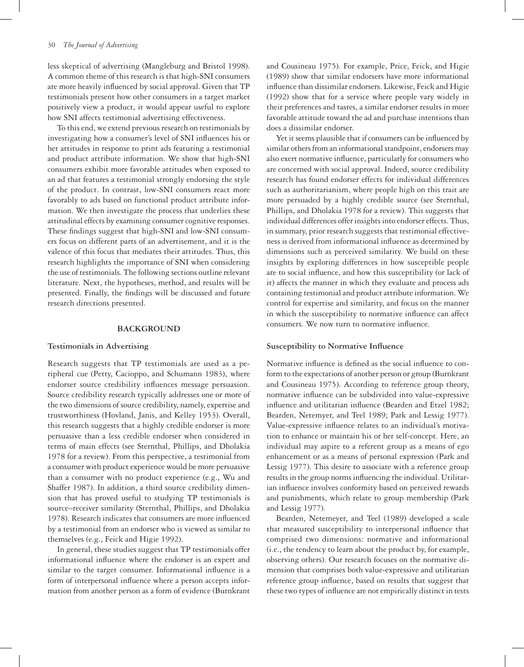less skeptical of advertising (Mangleburg and Bristol 1998). A common theme of this research is that high-SNI consumers are more heavily influenced by social approval. Given that TP testimonials present how other consumers in a target market positively view a product, it would appear useful to explore how SNI affects testimonial advertising effectiveness.

To this end, we extend previous research on testimonials by investigating how a consumer's level of SNI influences his or her attitudes in response to print ads featuring a testimonial and product attribute information. We show that high-SNI consumers exhibit more favorable attitudes when exposed to an ad that features a testimonial strongly endorsing the style of the product. In contrast, low-SNI consumers react more favorably to ads based on functional product attribute information. We then investigate the process that underlies these attitudinal effects by examining consumer cognitive responses. These findings suggest that high-SNI and low-SNI consumers focus on different parts of an advertisement, and it is the valence of this focus that mediates their attitudes. Thus, this research highlights the importance of SNI when considering the use of testimonials. The following sections outline relevant literature. Next, the hypotheses, method, and results will be presented. Finally, the findings will be discussed and future research directions presented.

#### **BACKGROUND**

# **Testimonials in Advertising**

Research suggests that TP testimonials are used as a peripheral cue (Petty, Cacioppo, and Schumann 1983), where endorser source credibility influences message persuasion. Source credibility research typically addresses one or more of the two dimensions of source credibility, namely, expertise and trustworthiness (Hovland, Janis, and Kelley 1953). Overall, this research suggests that a highly credible endorser is more persuasive than a less credible endorser when considered in terms of main effects (see Sternthal, Phillips, and Dholakia 1978 for a review). From this perspective, a testimonial from a consumer with product experience would be more persuasive than a consumer with no product experience (e.g., Wu and Shaffer 1987). In addition, a third source credibility dimension that has proved useful to studying TP testimonials is source–receiver similarity (Sternthal, Phillips, and Dholakia 1978). Research indicates that consumers are more influenced by a testimonial from an endorser who is viewed as similar to themselves (e.g., Feick and Higie 1992).

In general, these studies suggest that TP testimonials offer informational influence where the endorser is an expert and similar to the target consumer. Informational influence is a form of interpersonal influence where a person accepts information from another person as a form of evidence (Burnkrant

and Cousineau 1975). For example, Price, Feick, and Higie (1989) show that similar endorsers have more informational influence than dissimilar endorsers. Likewise, Feick and Higie (1992) show that for a service where people vary widely in their preferences and tastes, a similar endorser results in more favorable attitude toward the ad and purchase intentions than does a dissimilar endorser.

Yet it seems plausible that if consumers can be influenced by similar others from an informational standpoint, endorsers may also exert normative influence, particularly for consumers who are concerned with social approval. Indeed, source credibility research has found endorser effects for individual differences such as authoritarianism, where people high on this trait are more persuaded by a highly credible source (see Sternthal, Phillips, and Dholakia 1978 for a review). This suggests that individual differences offer insights into endorser effects. Thus, in summary, prior research suggests that testimonial effectiveness is derived from informational influence as determined by dimensions such as perceived similarity. We build on these insights by exploring differences in how susceptible people are to social influence, and how this susceptibility (or lack of it) affects the manner in which they evaluate and process ads containing testimonial and product attribute information. We control for expertise and similarity, and focus on the manner in which the susceptibility to normative influence can affect consumers. We now turn to normative influence.

# **Susceptibility to Normative Influence**

Normative influence is defined as the social influence to conform to the expectations of another person or group (Burnkrant and Cousineau 1975). According to reference group theory, normative influence can be subdivided into value-expressive influence and utilitarian influence (Bearden and Etzel 1982; Bearden, Netemyer, and Teel 1989; Park and Lessig 1977). Value-expressive influence relates to an individual's motivation to enhance or maintain his or her self-concept. Here, an individual may aspire to a referent group as a means of ego enhancement or as a means of personal expression (Park and Lessig 1977). This desire to associate with a reference group results in the group norms influencing the individual. Utilitarian influence involves conformity based on perceived rewards and punishments, which relate to group membership (Park and Lessig 1977).

Bearden, Netemeyer, and Teel (1989) developed a scale that measured susceptibility to interpersonal influence that comprised two dimensions: normative and informational (i.e., the tendency to learn about the product by, for example, observing others). Our research focuses on the normative dimension that comprises both value-expressive and utilitarian reference group influence, based on results that suggest that these two types of influence are not empirically distinct in tests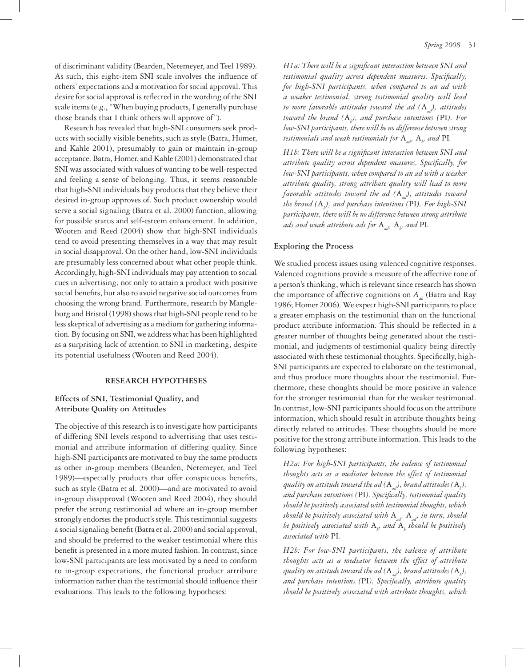of discriminant validity (Bearden, Netemeyer, and Teel 1989). As such, this eight-item SNI scale involves the influence of others' expectations and a motivation for social approval. This desire for social approval is reflected in the wording of the SNI scale items (e.g., "When buying products, I generally purchase those brands that I think others will approve of").

Research has revealed that high-SNI consumers seek products with socially visible benefits, such as style (Batra, Homer, and Kahle 2001), presumably to gain or maintain in-group acceptance. Batra, Homer, and Kahle (2001) demonstrated that SNI was associated with values of wanting to be well-respected and feeling a sense of belonging. Thus, it seems reasonable that high-SNI individuals buy products that they believe their desired in-group approves of. Such product ownership would serve a social signaling (Batra et al. 2000) function, allowing for possible status and self-esteem enhancement. In addition, Wooten and Reed (2004) show that high-SNI individuals tend to avoid presenting themselves in a way that may result in social disapproval. On the other hand, low-SNI individuals are presumably less concerned about what other people think. Accordingly, high-SNI individuals may pay attention to social cues in advertising, not only to attain a product with positive social benefits, but also to avoid negative social outcomes from choosing the wrong brand. Furthermore, research by Mangleburg and Bristol (1998) shows that high-SNI people tend to be less skeptical of advertising as a medium for gathering information. By focusing on SNI, we address what has been highlighted as a surprising lack of attention to SNI in marketing, despite its potential usefulness (Wooten and Reed 2004).

# **RESEARCH HYPOTHESES**

# **Effects of SNI, Testimonial Quality, and Attribute Quality on Attitudes**

The objective of this research is to investigate how participants of differing SNI levels respond to advertising that uses testimonial and attribute information of differing quality. Since high-SNI participants are motivated to buy the same products as other in-group members (Bearden, Netemeyer, and Teel 1989)—especially products that offer conspicuous benefits, such as style (Batra et al. 2000)—and are motivated to avoid in-group disapproval (Wooten and Reed 2004), they should prefer the strong testimonial ad where an in-group member strongly endorses the product's style. This testimonial suggests a social signaling benefit (Batra et al. 2000) and social approval, and should be preferred to the weaker testimonial where this benefit is presented in a more muted fashion. In contrast, since low-SNI participants are less motivated by a need to conform to in-group expectations, the functional product attribute information rather than the testimonial should influence their evaluations. This leads to the following hypotheses:

*H1a: There will be a significant interaction between SNI and testimonial quality across dependent measures. Specifically, for high-SNI participants, when compared to an ad with a weaker testimonial, strong testimonial quality will lead to more favorable attitudes toward the ad (A<sub>ad</sub>), attitudes toward the brand (*A*<sup>b</sup> ), and purchase intentions (*PI*). For low-SNI participants, there will be no difference between strong*  testimonials and weak testimonials for  $A_{ad}$ ,  $A_{b}$ , and  $PI$ .

*H1b: There will be a significant interaction between SNI and attribute quality across dependent measures. Specifically, for low-SNI participants, when compared to an ad with a weaker attribute quality, strong attribute quality will lead to more favorable attitudes toward the ad (A<sub>ad</sub>), attitudes toward the brand (*A*<sup>b</sup> ), and purchase intentions (*PI*). For high-SNI participants, there will be no difference between strong attribute ads and weak attribute ads for*  $A_{ad}$ ,  $A_{b}$ , and PI.

# **Exploring the Process**

We studied process issues using valenced cognitive responses. Valenced cognitions provide a measure of the affective tone of a person's thinking, which is relevant since research has shown the importance of affective cognitions on  $A_{ad}$  (Batra and Ray 1986; Homer 2006). We expect high-SNI participants to place a greater emphasis on the testimonial than on the functional product attribute information. This should be reflected in a greater number of thoughts being generated about the testimonial, and judgments of testimonial quality being directly associated with these testimonial thoughts. Specifically, high-SNI participants are expected to elaborate on the testimonial, and thus produce more thoughts about the testimonial. Furthermore, these thoughts should be more positive in valence for the stronger testimonial than for the weaker testimonial. In contrast, low-SNI participants should focus on the attribute information, which should result in attribute thoughts being directly related to attitudes. These thoughts should be more positive for the strong attribute information. This leads to the following hypotheses:

*H2a: For high-SNI participants, the valence of testimonial thoughts acts as a mediator between the effect of testimonial quality on attitude toward the ad*  $(\mathrm{A}_{\scriptscriptstyle{ad}})$ *, brand attitudes*  $(\mathrm{A}_{\scriptscriptstyle{b}})$ *, and purchase intentions (*PI*). Specifically, testimonial quality should be positively associated with testimonial thoughts, which should be positively associated with* A*ad.* A*ad, in turn, should be positively associated with*  $A_\nu$  *and*  $A_\iota$  *should be positively associated with* PI*.*

*H2b: For low-SNI participants, the valence of attribute thoughts acts as a mediator between the effect of attribute quality on attitude toward the ad*  $(\mathrm{A}_{\scriptscriptstyle{ad}})$ *, brand attitudes*  $(\mathrm{A}_{\scriptscriptstyle{b}})$ *, and purchase intentions (*PI*). Specifically, attribute quality should be positively associated with attribute thoughts, which*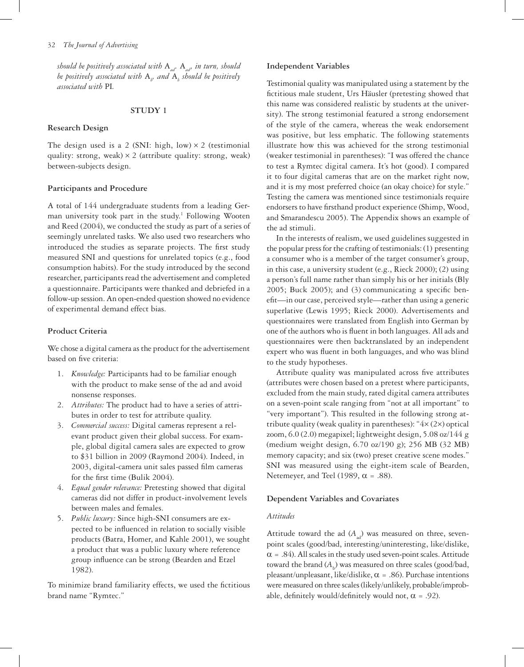*should be positively associated with*  $A_{a}$ *,*  $A_{a}$ *, in turn, should be positively associated with* A*<sup>b</sup> , and* A*<sup>b</sup> should be positively associated with* PI*.*

# **STUDY 1**

#### **Research Design**

The design used is a 2 (SNI: high, low)  $\times$  2 (testimonial quality: strong, weak)  $\times$  2 (attribute quality: strong, weak) between-subjects design.

#### **Participants and Procedure**

A total of 144 undergraduate students from a leading German university took part in the study.<sup>1</sup> Following Wooten and Reed (2004), we conducted the study as part of a series of seemingly unrelated tasks. We also used two researchers who introduced the studies as separate projects. The first study measured SNI and questions for unrelated topics (e.g., food consumption habits). For the study introduced by the second researcher, participants read the advertisement and completed a questionnaire. Participants were thanked and debriefed in a follow-up session. An open-ended question showed no evidence of experimental demand effect bias.

# **Product Criteria**

We chose a digital camera as the product for the advertisement based on five criteria:

- 1. *Knowledge:* Participants had to be familiar enough with the product to make sense of the ad and avoid nonsense responses.
- 2. *Attributes:* The product had to have a series of attributes in order to test for attribute quality.
- 3. *Commercial success:* Digital cameras represent a relevant product given their global success. For example, global digital camera sales are expected to grow to \$31 billion in 2009 (Raymond 2004). Indeed, in 2003, digital-camera unit sales passed film cameras for the first time (Bulik 2004).
- 4. *Equal gender relevance:* Pretesting showed that digital cameras did not differ in product-involvement levels between males and females.
- 5. *Public luxury:* Since high-SNI consumers are expected to be influenced in relation to socially visible products (Batra, Homer, and Kahle 2001), we sought a product that was a public luxury where reference group influence can be strong (Bearden and Etzel 1982).

To minimize brand familiarity effects, we used the fictitious brand name "Rymtec."

# **Independent Variables**

Testimonial quality was manipulated using a statement by the fictitious male student, Urs Häusler (pretesting showed that this name was considered realistic by students at the university). The strong testimonial featured a strong endorsement of the style of the camera, whereas the weak endorsement was positive, but less emphatic. The following statements illustrate how this was achieved for the strong testimonial (weaker testimonial in parentheses): "I was offered the chance to test a Rymtec digital camera. It's hot (good). I compared it to four digital cameras that are on the market right now, and it is my most preferred choice (an okay choice) for style." Testing the camera was mentioned since testimonials require endorsers to have firsthand product experience (Shimp, Wood, and Smarandescu 2005). The Appendix shows an example of the ad stimuli.

In the interests of realism, we used guidelines suggested in the popular press for the crafting of testimonials: (1) presenting a consumer who is a member of the target consumer's group, in this case, a university student (e.g., Rieck 2000); (2) using a person's full name rather than simply his or her initials (Bly 2005; Buck 2005); and (3) communicating a specific benefit—in our case, perceived style—rather than using a generic superlative (Lewis 1995; Rieck 2000). Advertisements and questionnaires were translated from English into German by one of the authors who is fluent in both languages. All ads and questionnaires were then backtranslated by an independent expert who was fluent in both languages, and who was blind to the study hypotheses.

Attribute quality was manipulated across five attributes (attributes were chosen based on a pretest where participants, excluded from the main study, rated digital camera attributes on a seven-point scale ranging from "not at all important" to "very important"). This resulted in the following strong attribute quality (weak quality in parentheses): " $4 \times (2 \times)$  optical zoom, 6.0 (2.0) megapixel; lightweight design, 5.08 oz/144 g (medium weight design, 6.70 oz/190 g); 256 MB (32 MB) memory capacity; and six (two) preset creative scene modes." SNI was measured using the eight-item scale of Bearden, Netemeyer, and Teel (1989,  $\alpha$  = .88).

# **Dependent Variables and Covariates**

# *Attitudes*

Attitude toward the ad  $(A_{ad})$  was measured on three, sevenpoint scales (good/bad, interesting/uninteresting, like/dislike,  $\alpha$  = .84). All scales in the study used seven-point scales. Attitude toward the brand  $(A_{\mathrm{b}})$  was measured on three scales (good/bad, pleasant/unpleasant, like/dislike,  $\alpha$  = .86). Purchase intentions were measured on three scales (likely/unlikely, probable/improbable, definitely would/definitely would not,  $\alpha = .92$ ).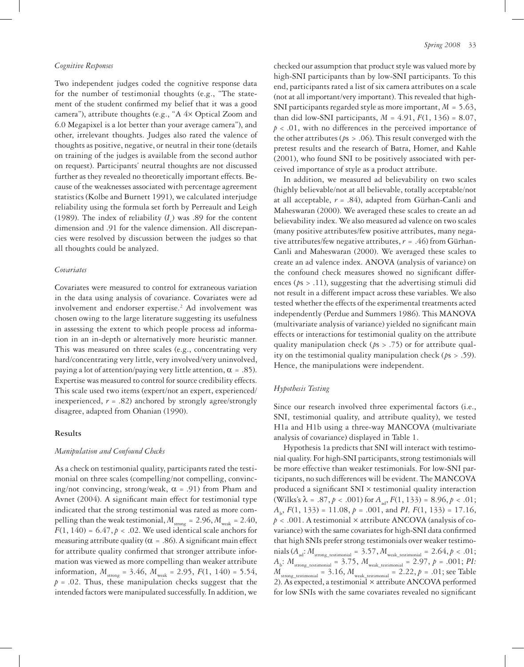#### *Cognitive Responses*

Two independent judges coded the cognitive response data for the number of testimonial thoughts (e.g., "The statement of the student confirmed my belief that it was a good camera"), attribute thoughts (e.g., "A 4× Optical Zoom and 6.0 Megapixel is a lot better than your average camera"), and other, irrelevant thoughts. Judges also rated the valence of thoughts as positive, negative, or neutral in their tone (details on training of the judges is available from the second author on request). Participants' neutral thoughts are not discussed further as they revealed no theoretically important effects. Because of the weaknesses associated with percentage agreement statistics (Kolbe and Burnett 1991), we calculated interjudge reliability using the formula set forth by Perreault and Leigh (1989). The index of reliability  $(I_r)$  was .89 for the content dimension and .91 for the valence dimension. All discrepancies were resolved by discussion between the judges so that all thoughts could be analyzed.

#### *Covariates*

Covariates were measured to control for extraneous variation in the data using analysis of covariance. Covariates were ad involvement and endorser expertise.<sup>2</sup> Ad involvement was chosen owing to the large literature suggesting its usefulness in assessing the extent to which people process ad information in an in-depth or alternatively more heuristic manner. This was measured on three scales (e.g., concentrating very hard/concentrating very little, very involved/very uninvolved, paying a lot of attention/paying very little attention,  $\alpha = .85$ ). Expertise was measured to control for source credibility effects. This scale used two items (expert/not an expert, experienced/ inexperienced, *r* = .82) anchored by strongly agree/strongly disagree, adapted from Ohanian (1990).

# **Results**

# *Manipulation and Confound Checks*

As a check on testimonial quality, participants rated the testimonial on three scales (compelling/not compelling, convincing/not convincing, strong/weak,  $\alpha$  = .91) from Pham and Avnet (2004). A significant main effect for testimonial type indicated that the strong testimonial was rated as more compelling than the weak testimonial,  $M_{\text{strong}} = 2.96$ ,  $M_{\text{weak}} = 2.40$ ,  $F(1, 140) = 6.47, p < .02$ . We used identical scale anchors for measuring attribute quality ( $\alpha$  = .86). A significant main effect for attribute quality confirmed that stronger attribute information was viewed as more compelling than weaker attribute information,  $M_{\text{strong}} = 3.46$ ,  $M_{\text{weak}} = 2.95$ ,  $F(1, 140) = 5.54$ ,  $p = 0.02$ . Thus, these manipulation checks suggest that the intended factors were manipulated successfully. In addition, we

checked our assumption that product style was valued more by high-SNI participants than by low-SNI participants. To this end, participants rated a list of six camera attributes on a scale (not at all important/very important). This revealed that high-SNI participants regarded style as more important, *M* = 5.63, than did low-SNI participants,  $M = 4.91, F(1, 136) = 8.07$ ,  $p < .01$ , with no differences in the perceived importance of the other attributes (*p*s > .06). This result converged with the pretest results and the research of Batra, Homer, and Kahle (2001), who found SNI to be positively associated with perceived importance of style as a product attribute.

In addition, we measured ad believability on two scales (highly believable/not at all believable, totally acceptable/not at all acceptable,  $r = .84$ ), adapted from Gürhan-Canli and Maheswaran (2000). We averaged these scales to create an ad believability index. We also measured ad valence on two scales (many positive attributes/few positive attributes, many negative attributes/few negative attributes,  $r = .46$ ) from Gürhan-Canli and Maheswaran (2000). We averaged these scales to create an ad valence index. ANOVA (analysis of variance) on the confound check measures showed no significant differences ( $ps > .11$ ), suggesting that the advertising stimuli did not result in a different impact across these variables. We also tested whether the effects of the experimental treatments acted independently (Perdue and Summers 1986). This MANOVA (multivariate analysis of variance) yielded no significant main effects or interactions for testimonial quality on the attribute quality manipulation check (*p*s > .75) or for attribute quality on the testimonial quality manipulation check (*p*s > .59). Hence, the manipulations were independent.

# *Hypothesis Testing*

Since our research involved three experimental factors (i.e., SNI, testimonial quality, and attribute quality), we tested H1a and H1b using a three-way MANCOVA (multivariate analysis of covariance) displayed in Table 1.

Hypothesis 1a predicts that SNI will interact with testimonial quality. For high-SNI participants, strong testimonials will be more effective than weaker testimonials. For low-SNI participants, no such differences will be evident. The MANCOVA produced a significant SNI × testimonial quality interaction  $(Wilks's \lambda = .87, p < .001)$  for  $A_{ab}$ ,  $F(1, 133) = 8.96, p < .01$ ; *A*b , *F*(1, 133) = 11.08, *p* = .001, and *PI, F*(1, 133) = 17.16, *p* < .001. A testimonial × attribute ANCOVA (analysis of covariance) with the same covariates for high-SNI data confirmed that high SNIs prefer strong testimonials over weaker testimo- $\text{mials} \left( A_{\text{ad}}: M_{\text{strong\_testimonial}} = 3.57, M_{\text{weak\_testimonial}} = 2.64, p < .01;$  $A_{\rm b}$ :  $M_{\rm strong\_testimomial}$  = 3.75,  $M_{\rm weak\_testimomial}$  = 2.97,  $p$  = .001; *PI:*  $M_{\text{strong\_testimonial}} = 3.16$ ,  $M_{\text{weak\_testimonial}} = 2.22$ ,  $p = .01$ ; see Table 2). As expected, a testimonial × attribute ANCOVA performed for low SNIs with the same covariates revealed no significant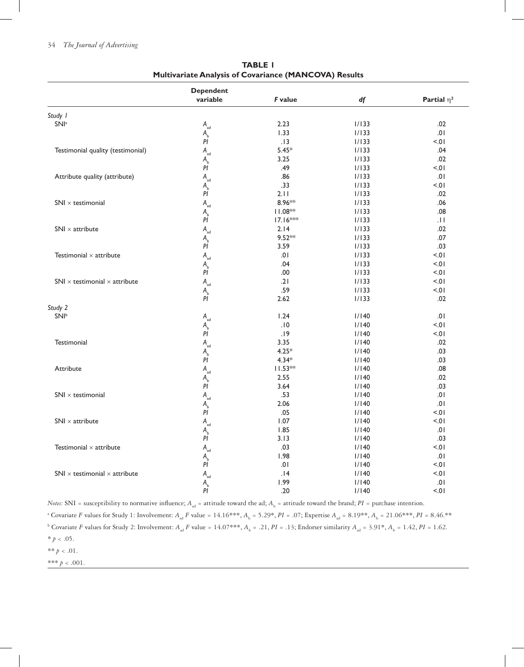|                                                                  | <b>Dependent</b>                              |            |       |                  |
|------------------------------------------------------------------|-----------------------------------------------|------------|-------|------------------|
|                                                                  | variable                                      | F value    | df    | Partial $\eta^2$ |
| Study I                                                          |                                               |            |       |                  |
| SNI <sup>a</sup>                                                 | $A_{\rm ad}$                                  | 2.23       | 1/133 | .02              |
|                                                                  | $A$ <sub>b</sub>                              | 1.33       | 1/133 | .01              |
|                                                                  | PĪ                                            | .13        | 1/133 | 10.5             |
| Testimonial quality (testimonial)                                | $\mathsf{A}_{\mathsf{ad}}$                    | $5.45*$    | 1/133 | .04              |
|                                                                  | $A$ <sub>b</sub>                              | 3.25       | 1/133 | .02              |
|                                                                  | PĪ                                            | .49        | 1/133 | 10.5             |
| Attribute quality (attribute)                                    | $\mathsf{A}_{\sf ad}$                         | .86        | 1/133 | .01              |
|                                                                  | $A$ <sub>b</sub>                              | .33        | 1/133 | 10.5             |
|                                                                  | $\mathsf{PI}$                                 | 2.11       | 1/133 | .02              |
| $\textsf{SNI}\times\textsf{testimomial}$                         | $\mathsf{A}_{\mathsf{ad}}$                    | 8.96**     | 1/133 | .06              |
|                                                                  | $\mathsf{A}_{\scriptscriptstyle{\mathsf{b}}}$ | $11.08**$  | 1/133 | .08              |
|                                                                  | PI                                            | $17.16***$ | 1/133 | .H               |
| $SNI \times attribute$                                           | $\mathsf{A}_{\sf ad}$                         | 2.14       | 1/133 | .02              |
|                                                                  | $A$ <sub>b</sub>                              | $9.52**$   | 1/133 | .07              |
|                                                                  | PĪ                                            | 3.59       | 1/133 | .03              |
| Testimonial $\times$ attribute                                   | $\mathsf{A}_{\sf ad}$                         | 10.        | 1/133 | < 0.01           |
|                                                                  |                                               | .04        | 1/133 | 10.5             |
|                                                                  | $A$ <sub>b</sub><br>PĪ                        | .00        | 1/133 | < 01             |
| $\textsf{SNI}\times\textsf{testimomial}\times\textsf{attribute}$ | $\mathsf{A}_{\sf ad}$                         | .21        | 1/133 | < 01             |
|                                                                  |                                               | .59        | 1/133 | 10.5             |
|                                                                  | $A$ <sub>b</sub><br>PĪ                        | 2.62       | 1/133 | .02              |
| Study 2                                                          |                                               |            |       |                  |
| <b>SNIb</b>                                                      | $A_{\rm ad}$                                  | 1.24       | 1/140 | .01              |
|                                                                  | $A$ <sub>b</sub>                              | .10        | 1/140 | 10.5             |
|                                                                  | PĪ                                            | .19        | 1/140 | 10.5             |
| Testimonial                                                      |                                               | 3.35       | 1/140 | .02              |
|                                                                  | $\mathsf{A}_{\sf ad}$<br>$A$ <sub>b</sub>     | $4.25*$    | 1/140 | .03              |
|                                                                  | PĪ                                            | $4.34*$    | 1/140 | .03              |
| Attribute                                                        | $\mathsf{A}_{\mathsf{ad}}$                    | $11.53**$  | 1/140 | .08              |
|                                                                  | $A$ <sub>b</sub>                              | 2.55       | 1/140 | .02              |
|                                                                  | PĪ                                            | 3.64       | 1/140 | .03              |
| $\textsf{SNI}\times\textsf{testimomial}$                         | $\mathsf{A}_{\mathsf{ad}}$                    | .53        | 1/140 | .01              |
|                                                                  | $A$ <sub>b</sub>                              | 2.06       | 1/140 | .01              |
|                                                                  | PĪ                                            | .05        | 1/140 | 10.5             |
| $SNI \times attribute$                                           | $\mathsf{A}_{\sf ad}$                         | 1.07       | 1/140 | < 0.01           |
|                                                                  | $A$ <sub>b</sub>                              | 1.85       | 1/140 | .01              |
|                                                                  | $\boldsymbol{P}\boldsymbol{I}$                | 3.13       | 1/140 | .03              |
| Testimonial $\times$ attribute                                   | $\mathsf{A}_{\sf ad}$                         | .03        | 1/140 | 10.5             |
|                                                                  | $A$ <sub>b</sub>                              | 1.98       | 1/140 | .01              |
|                                                                  | PI                                            | $.01$      | 1/140 | < 0.1            |
| SNI $\times$ testimonial $\times$ attribute                      | $\mathsf{A}_{\sf ad}$                         | .14        | 1/140 | $5 - 01$         |
|                                                                  |                                               | 1.99       | 1/140 | .01              |
|                                                                  | $A$ <sub>b</sub><br>$PI$                      | .20        | 1/140 | < 0.1            |
|                                                                  |                                               |            |       |                  |

**TABLE 1 Multivariate Analysis of Covariance (MANCOVA) Results**

*Notes:* SNI = susceptibility to normative influence;  $A_{ad}$  = attitude toward the ad;  $A_{b}$  = attitude toward the brand;  $PI$  = purchase intention.

<sup>a</sup> Covariate *F* values for Study 1: Involvement: *A*<sub>ad</sub> *F* value = 14.16\*\*\*, *A*<sub>b</sub> = 5.29\*, *PI* = .07; Expertise *A*<sub>ad</sub> = 8.19\*\*, *A*<sub>b</sub> = 21.06\*\*\*, *PI* = 8.46.\*\* <sup>b</sup> Covariate *F* values for Study 2: Involvement:  $A_{ad}$  *F* value = 14.07\*\*\*,  $A_{b}$  = .21, *PI* = .13; Endorser similarity  $A_{ad}$  = 3.91\*,  $A_{b}$  = 1.42, *PI* = 1.62.  $*$   $p$   $<$   $.05.$ 

 $**$   $p$   $<$   $.01.$ 

\*\*\* *p* < .001.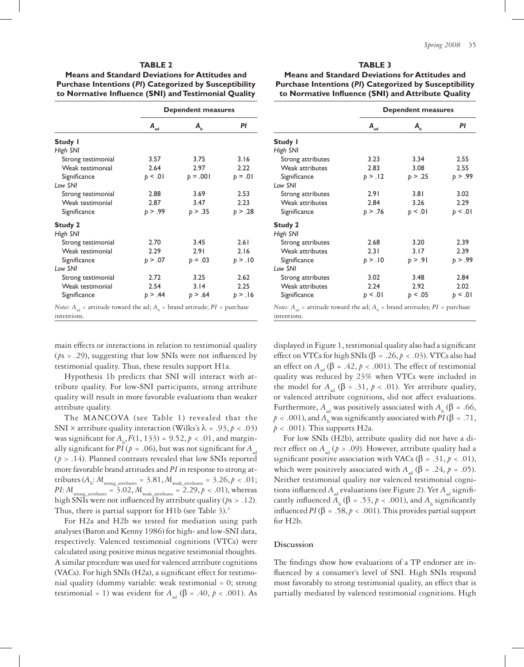# **TABLE 2**

**Means and Standard Deviations for Attitudes and Purchase Intentions (***PI***) Categorized by Susceptibility to Normative Influence (SNI) and Testimonial Quality**

|                                                                                                         |                               | <b>Dependent measures</b> |           |  |  |
|---------------------------------------------------------------------------------------------------------|-------------------------------|---------------------------|-----------|--|--|
|                                                                                                         | $\mathbf{A}_{_{\mathbf{ad}}}$ | $A_{b}$                   | PI        |  |  |
| Study I                                                                                                 |                               |                           |           |  |  |
| High SNI                                                                                                |                               |                           |           |  |  |
| Strong testimonial                                                                                      | 3.57                          | 3.75                      | 3.16      |  |  |
| Weak testimonial                                                                                        | 2.64                          | 2.97                      | 2.22      |  |  |
| Significance                                                                                            | p < .01                       | $p = .001$                | $p = .01$ |  |  |
| Low SNI                                                                                                 |                               |                           |           |  |  |
| Strong testimonial                                                                                      | 2.88                          | 3.69                      | 2.53      |  |  |
| Weak testimonial                                                                                        | 2.87                          | 3.47                      | 2.23      |  |  |
| Significance                                                                                            | p > .99                       | p > .35                   | p > .28   |  |  |
| <b>Study 2</b>                                                                                          |                               |                           |           |  |  |
| High SNI                                                                                                |                               |                           |           |  |  |
| Strong testimonial                                                                                      | 2.70                          | 3.45                      | 2.61      |  |  |
| Weak testimonial                                                                                        | 2.29                          | 2.91                      | 2.16      |  |  |
| Significance                                                                                            | p > .07                       | $p = .03$                 | p > 10    |  |  |
| Low SNI                                                                                                 |                               |                           |           |  |  |
| Strong testimonial                                                                                      | 2.72                          | 3.25                      | 2.62      |  |  |
| Weak testimonial                                                                                        | 2.54                          | 3.14                      | 2.25      |  |  |
| Significance                                                                                            | p > .44                       | p > .64                   | p > 16    |  |  |
| <i>Notes:</i> $A_{ad}$ = attitude toward the ad; $A_b$ = brand attitude; $PI$ = purchase<br>intentions. |                               |                           |           |  |  |

main effects or interactions in relation to testimonial quality (*p*s > .29), suggesting that low SNIs were not influenced by testimonial quality. Thus, these results support H1a.

Hypothesis 1b predicts that SNI will interact with attribute quality. For low-SNI participants, strong attribute quality will result in more favorable evaluations than weaker attribute quality.

The MANCOVA (see Table 1) revealed that the SNI × attribute quality interaction (Wilks's  $\lambda = .93, p < .03$ ) was significant for  $A_{\rm b}$ ,  $F(1, 133) = 9.52$ ,  $p < .01$ , and marginally significant for *PI* ( $p = .06$ ), but was not significant for  $A_{ad}$ (*p* > .14). Planned contrasts revealed that low SNIs reported more favorable brand attitudes and *PI* in response to strong attributes  $(A_b: M_{\text{strong\_attributes}} = 3.81, M_{\text{weak\_attributes}} = 3.26, p < .01;$ *PI:*  $M_{\text{strong\_attributes}} = 3.02$ ,  $M_{\text{weak\_attributes}} = 2.29$ ,  $p < .01$ ), whereas high SNIs were not influenced by attribute quality (*p*s > .12). Thus, there is partial support for H1b (see Table 3).<sup>3</sup>

For H2a and H2b we tested for mediation using path analyses (Baron and Kenny 1986) for high- and low-SNI data, respectively. Valenced testimonial cognitions (VTCs) were calculated using positive minus negative testimonial thoughts. A similar procedure was used for valenced attribute cognitions (VACs). For high SNIs (H2a), a significant effect for testimonial quality (dummy variable: weak testimonial = 0; strong testimonial = 1) was evident for  $A_{ad}$  ( $\beta$  = .40,  $p < .001$ ). As

# **TABLE 3**

**Means and Standard Deviations for Attitudes and Purchase Intentions (***PI***) Categorized by Susceptibility to Normative Influence (SNI) and Attribute Quality**

|                   |                               | <b>Dependent measures</b> |         |  |  |
|-------------------|-------------------------------|---------------------------|---------|--|--|
|                   | $\mathbf{A}_{_{\mathbf{ad}}}$ | $A_{\rm b}$               | PI      |  |  |
| Study I           |                               |                           |         |  |  |
| High SNI          |                               |                           |         |  |  |
| Strong attributes | 3.23                          | 3.34                      | 2.55    |  |  |
| Weak attributes   | 2.83                          | 3.08                      | 2.55    |  |  |
| Significance      | p > .12                       | p > .25                   | p > .99 |  |  |
| Low SNI           |                               |                           |         |  |  |
| Strong attributes | 2.91                          | 3.81                      | 3.02    |  |  |
| Weak attributes   | 2.84                          | 3.26                      | 2.29    |  |  |
| Significance      | p > .76                       | p < .01                   | p < .01 |  |  |
| <b>Study 2</b>    |                               |                           |         |  |  |
| High SNI          |                               |                           |         |  |  |
| Strong attributes | 2.68                          | 3.20                      | 2.39    |  |  |
| Weak attributes   | 2.31                          | 3.17                      | 2.39    |  |  |
| Significance      | p > .10                       | p > .91                   | p > .99 |  |  |
| Low SNI           |                               |                           |         |  |  |
| Strong attributes | 3.02                          | 3.48                      | 2.84    |  |  |
| Weak attributes   | 2.24                          | 2.92                      | 2.02    |  |  |
| Significance      | b < .01                       | p < .05                   | p < 01  |  |  |
|                   |                               |                           |         |  |  |

*Notes:*  $A_{ad}$  = attitude toward the ad;  $A_{b}$  = brand attitudes;  $PI$  = purchase intentions.

displayed in Figure 1, testimonial quality also had a significant effect on VTCs for high SNIs (β = .26,  $p < .03$ ). VTCs also had an effect on  $A_{ad}$  ( $\beta = .42, p < .001$ ). The effect of testimonial quality was reduced by 23% when VTCs were included in the model for  $A_{ad}$  ( $\beta = .31$ ,  $p < .01$ ). Yet attribute quality, or valenced attribute cognitions, did not affect evaluations. Furthermore,  $A_{ad}$  was positively associated with  $A_{b}$  ( $\beta = .66$ ,  $p < .001$ ), and  $A<sub>b</sub>$  was significantly associated with  $PI(\beta = .71, )$  $p < .001$ ). This supports H2a.

For low SNIs (H2b), attribute quality did not have a direct effect on  $A_{ad}$  ( $p > .09$ ). However, attribute quality had a significant positive association with VACs ( $\beta = .31, p < .01$ ), which were positively associated with  $A_{ad}$  ( $\beta = .24$ ,  $p = .05$ ). Neither testimonial quality nor valenced testimonial cognitions influenced  $A_{ad}$  evaluations (see Figure 2). Yet  $A_{ad}$  significantly influenced  $A_b$  ( $\beta = .53$ ,  $p < .001$ ), and  $A_b$  significantly influenced *PI* (β = .58, *p* < .001). This provides partial support for H2b.

# **Discussion**

The findings show how evaluations of a TP endorser are influenced by a consumer's level of SNI. High SNIs respond most favorably to strong testimonial quality, an effect that is partially mediated by valenced testimonial cognitions. High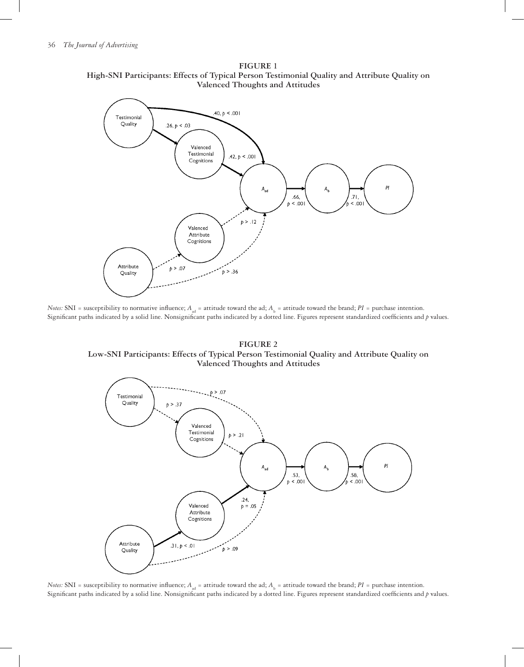

**FIGURE 1 High-SNI Participants: Effects of Typical Person Testimonial Quality and Attribute Quality on Valenced Thoughts and Attitudes**

*Notes:* SNI = susceptibility to normative influence;  $A_{ad}$  = attitude toward the ad;  $A_{b}$  = attitude toward the brand;  $PI$  = purchase intention. Significant paths indicated by a solid line. Nonsignificant paths indicated by a dotted line. Figures represent standardized coefficients and *p* values.

**FIGURE 2 Low-SNI Participants: Effects of Typical Person Testimonial Quality and Attribute Quality on Valenced Thoughts and Attitudes**



*Notes:* SNI = susceptibility to normative influence;  $A_{ad}$  = attitude toward the ad;  $A_b$  = attitude toward the brand;  $PI$  = purchase intention. Significant paths indicated by a solid line. Nonsignificant paths indicated by a dotted line. Figures represent standardized coefficients and *p* values.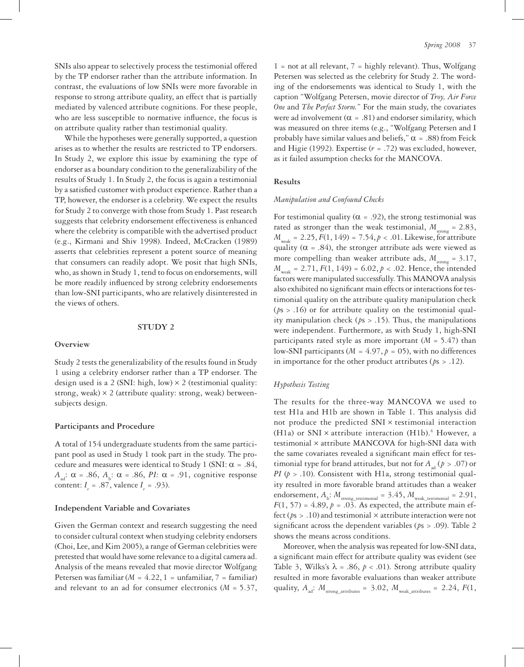SNIs also appear to selectively process the testimonial offered by the TP endorser rather than the attribute information. In contrast, the evaluations of low SNIs were more favorable in response to strong attribute quality, an effect that is partially

mediated by valenced attribute cognitions. For these people, who are less susceptible to normative influence, the focus is on attribute quality rather than testimonial quality. While the hypotheses were generally supported, a question

arises as to whether the results are restricted to TP endorsers. In Study 2, we explore this issue by examining the type of endorser as a boundary condition to the generalizability of the results of Study 1. In Study 2, the focus is again a testimonial by a satisfied customer with product experience. Rather than a TP, however, the endorser is a celebrity. We expect the results for Study 2 to converge with those from Study 1. Past research suggests that celebrity endorsement effectiveness is enhanced where the celebrity is compatible with the advertised product (e.g., Kirmani and Shiv 1998). Indeed, McCracken (1989) asserts that celebrities represent a potent source of meaning that consumers can readily adopt. We posit that high SNIs, who, as shown in Study 1, tend to focus on endorsements, will be more readily influenced by strong celebrity endorsements than low-SNI participants, who are relatively disinterested in the views of others.

#### **STUDY 2**

#### **Overview**

Study 2 tests the generalizability of the results found in Study 1 using a celebrity endorser rather than a TP endorser. The design used is a 2 (SNI: high, low)  $\times$  2 (testimonial quality: strong, weak)  $\times$  2 (attribute quality: strong, weak) betweensubjects design.

# **Participants and Procedure**

A total of 154 undergraduate students from the same participant pool as used in Study 1 took part in the study. The procedure and measures were identical to Study 1 (SNI:  $\alpha = .84$ ,  $A_{ad}$ : α = .86,  $A_b$ : α = .86, *PI:* α = .91, cognitive response content:  $I_r = .87$ , valence  $I_r = .93$ ).

#### **Independent Variable and Covariates**

Given the German context and research suggesting the need to consider cultural context when studying celebrity endorsers (Choi, Lee, and Kim 2005), a range of German celebrities were pretested that would have some relevance to a digital camera ad. Analysis of the means revealed that movie director Wolfgang Petersen was familiar (*M* = 4.22, 1 = unfamiliar, 7 = familiar) and relevant to an ad for consumer electronics (*M* = 5.37,

 $1 =$  not at all relevant,  $7 =$  highly relevant). Thus, Wolfgang Petersen was selected as the celebrity for Study 2. The wording of the endorsements was identical to Study 1, with the caption "Wolfgang Petersen, movie director of *Troy, Air Force One* and *The Perfect Storm.*" For the main study, the covariates were ad involvement ( $\alpha = .81$ ) and endorser similarity, which was measured on three items (e.g., "Wolfgang Petersen and I probably have similar values and beliefs,"  $\alpha$  = .88) from Feick and Higie (1992). Expertise (*r* = .72) was excluded, however, as it failed assumption checks for the MANCOVA.

# **Results**

#### *Manipulation and Confound Checks*

For testimonial quality ( $\alpha$  = .92), the strong testimonial was rated as stronger than the weak testimonial,  $M_{\text{strong}} = 2.83$ ,  $M_{\text{weak}} = 2.25, F(1, 149) = 7.54, p < .01$ . Likewise, for attribute quality ( $\alpha$  = .84), the stronger attribute ads were viewed as more compelling than weaker attribute ads,  $M_{\text{strong}} = 3.17$ ,  $M_{\text{weak}} = 2.71, F(1, 149) = 6.02, p < .02$ . Hence, the intended factors were manipulated successfully. This MANOVA analysis also exhibited no significant main effects or interactions for testimonial quality on the attribute quality manipulation check (*p*s > .16) or for attribute quality on the testimonial quality manipulation check (*p*s > .15). Thus, the manipulations were independent. Furthermore, as with Study 1, high-SNI participants rated style as more important  $(M = 5.47)$  than low-SNI participants ( $M = 4.97$ ,  $p = 05$ ), with no differences in importance for the other product attributes (*p*s > .12).

# *Hypothesis Testing*

The results for the three-way MANCOVA we used to test H1a and H1b are shown in Table 1. This analysis did not produce the predicted SNI × testimonial interaction (H1a) or SNI  $\times$  attribute interaction (H1b).<sup>4</sup> However, a testimonial × attribute MANCOVA for high-SNI data with the same covariates revealed a significant main effect for testimonial type for brand attitudes, but not for  $A_{ad}$  ( $p > .07$ ) or *PI* (*p* > .10). Consistent with H1a, strong testimonial quality resulted in more favorable brand attitudes than a weaker endorsement,  $A_{\rm b}$ :  $M_{\rm strong\_testimonial} = 3.45$ ,  $M_{\rm weak\_testimonial} = 2.91$ ,  $F(1, 57) = 4.89, p = .03$ . As expected, the attribute main effect ( $ps > .10$ ) and testimonial  $\times$  attribute interaction were not significant across the dependent variables (*p*s > .09). Table 2 shows the means across conditions.

Moreover, when the analysis was repeated for low-SNI data, a significant main effect for attribute quality was evident (see Table 3, Wilks's  $\lambda = .86$ ,  $p < .01$ ). Strong attribute quality resulted in more favorable evaluations than weaker attribute quality,  $A_{ad}$ :  $M_{\text{strong attributes}} = 3.02$ ,  $M_{\text{weak attributes}} = 2.24$ ,  $F(1)$ ,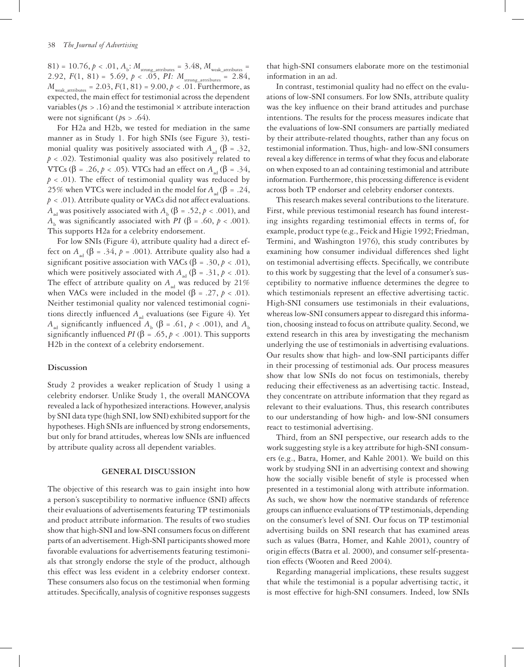$81) = 10.76, p < .01, A_{\rm b}$ ;  $M_{\rm strong\_attributes} = 3.48, M_{\rm weak\_attributes} = 10$ 2.92,  $F(1, 81) = 5.69, p < .05, PI: M_{strong_1, attributes} = 2.84,$  $M_{\text{weak attributes}} = 2.03, F(1, 81) = 9.00, p < .01$ . Furthermore, as expected, the main effect for testimonial across the dependent variables ( $ps > .16$ ) and the testimonial  $\times$  attribute interaction were not significant ( $ps > .64$ ).

For H2a and H2b, we tested for mediation in the same manner as in Study 1. For high SNIs (see Figure 3), testimonial quality was positively associated with  $A_{ad}$  ( $\beta = .32$ , *p* < .02). Testimonial quality was also positively related to VTCs (β = .26, *p* < .05). VTCs had an effect on  $A_{ad}$  (β = .34,  $p < .01$ ). The effect of testimonial quality was reduced by 25% when VTCs were included in the model for  $A_{ad}(\beta = .24, )$  $p < .01$ ). Attribute quality or VACs did not affect evaluations. *A*<sub>ad</sub> was positively associated with *A*<sub>b</sub> (β = .52, *p* < .001), and *A*<sub>b</sub> was significantly associated with *PI* (β = .60, *p* < .001). This supports H2a for a celebrity endorsement.

For low SNIs (Figure 4), attribute quality had a direct effect on  $A_{ad}$  ( $\beta = .34$ ,  $p = .001$ ). Attribute quality also had a significant positive association with VACs ( $\beta = .30, p < .01$ ), which were positively associated with  $A_{ad}$  ( $\beta = .31, p < .01$ ). The effect of attribute quality on  $A_{ad}$  was reduced by 21% when VACs were included in the model ( $\beta$  = .27,  $p < .01$ ). Neither testimonial quality nor valenced testimonial cognitions directly influenced  $A_{ad}$  evaluations (see Figure 4). Yet *A*<sub>ad</sub> significantly influenced *A*<sub>b</sub> (β = .61, *p* < .001), and *A*<sub>b</sub> significantly influenced *PI* ( $\beta = .65$ ,  $p < .001$ ). This supports H2b in the context of a celebrity endorsement.

# **Discussion**

Study 2 provides a weaker replication of Study 1 using a celebrity endorser. Unlike Study 1, the overall MANCOVA revealed a lack of hypothesized interactions. However, analysis by SNI data type (high SNI, low SNI) exhibited support for the hypotheses. High SNIs are influenced by strong endorsements, but only for brand attitudes, whereas low SNIs are influenced by attribute quality across all dependent variables.

# **GENERAL DISCUSSION**

The objective of this research was to gain insight into how a person's susceptibility to normative influence (SNI) affects their evaluations of advertisements featuring TP testimonials and product attribute information. The results of two studies show that high-SNI and low-SNI consumers focus on different parts of an advertisement. High-SNI participants showed more favorable evaluations for advertisements featuring testimonials that strongly endorse the style of the product, although this effect was less evident in a celebrity endorser context. These consumers also focus on the testimonial when forming attitudes. Specifically, analysis of cognitive responses suggests

that high-SNI consumers elaborate more on the testimonial information in an ad.

In contrast, testimonial quality had no effect on the evaluations of low-SNI consumers. For low SNIs, attribute quality was the key influence on their brand attitudes and purchase intentions. The results for the process measures indicate that the evaluations of low-SNI consumers are partially mediated by their attribute-related thoughts, rather than any focus on testimonial information. Thus, high- and low-SNI consumers reveal a key difference in terms of what they focus and elaborate on when exposed to an ad containing testimonial and attribute information. Furthermore, this processing difference is evident across both TP endorser and celebrity endorser contexts.

This research makes several contributions to the literature. First, while previous testimonial research has found interesting insights regarding testimonial effects in terms of, for example, product type (e.g., Feick and Higie 1992; Friedman, Termini, and Washington 1976), this study contributes by examining how consumer individual differences shed light on testimonial advertising effects. Specifically, we contribute to this work by suggesting that the level of a consumer's susceptibility to normative influence determines the degree to which testimonials represent an effective advertising tactic. High-SNI consumers use testimonials in their evaluations, whereas low-SNI consumers appear to disregard this information, choosing instead to focus on attribute quality. Second, we extend research in this area by investigating the mechanism underlying the use of testimonials in advertising evaluations. Our results show that high- and low-SNI participants differ in their processing of testimonial ads. Our process measures show that low SNIs do not focus on testimonials, thereby reducing their effectiveness as an advertising tactic. Instead, they concentrate on attribute information that they regard as relevant to their evaluations. Thus, this research contributes to our understanding of how high- and low-SNI consumers react to testimonial advertising.

Third, from an SNI perspective, our research adds to the work suggesting style is a key attribute for high-SNI consumers (e.g., Batra, Homer, and Kahle 2001). We build on this work by studying SNI in an advertising context and showing how the socially visible benefit of style is processed when presented in a testimonial along with attribute information. As such, we show how the normative standards of reference groups can influence evaluations of TP testimonials, depending on the consumer's level of SNI. Our focus on TP testimonial advertising builds on SNI research that has examined areas such as values (Batra, Homer, and Kahle 2001), country of origin effects (Batra et al. 2000), and consumer self-presentation effects (Wooten and Reed 2004).

Regarding managerial implications, these results suggest that while the testimonial is a popular advertising tactic, it is most effective for high-SNI consumers. Indeed, low SNIs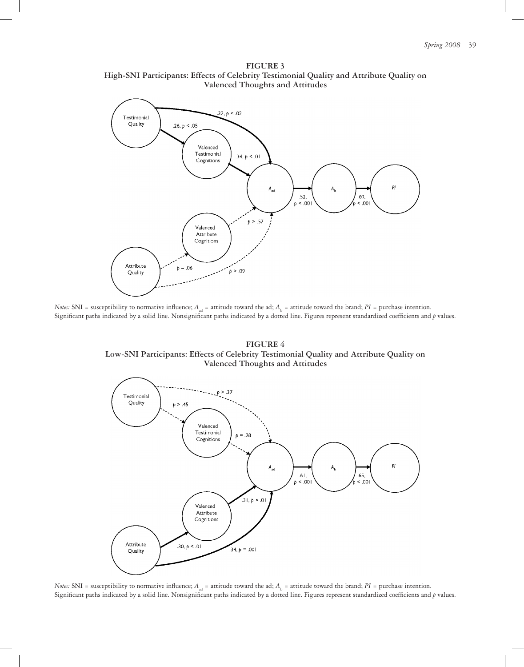**FIGURE 3 High-SNI Participants: Effects of Celebrity Testimonial Quality and Attribute Quality on Valenced Thoughts and Attitudes**



*Notes:* SNI = susceptibility to normative influence;  $A_{ad}$  = attitude toward the ad;  $A_b$  = attitude toward the brand;  $PI$  = purchase intention. Significant paths indicated by a solid line. Nonsignificant paths indicated by a dotted line. Figures represent standardized coefficients and *p* values.

**FIGURE 4 Low-SNI Participants: Effects of Celebrity Testimonial Quality and Attribute Quality on Valenced Thoughts and Attitudes**



*Notes:* SNI = susceptibility to normative influence;  $A_{ad}$  = attitude toward the ad;  $A_b$  = attitude toward the brand;  $PI$  = purchase intention. Significant paths indicated by a solid line. Nonsignificant paths indicated by a dotted line. Figures represent standardized coefficients and *p* values.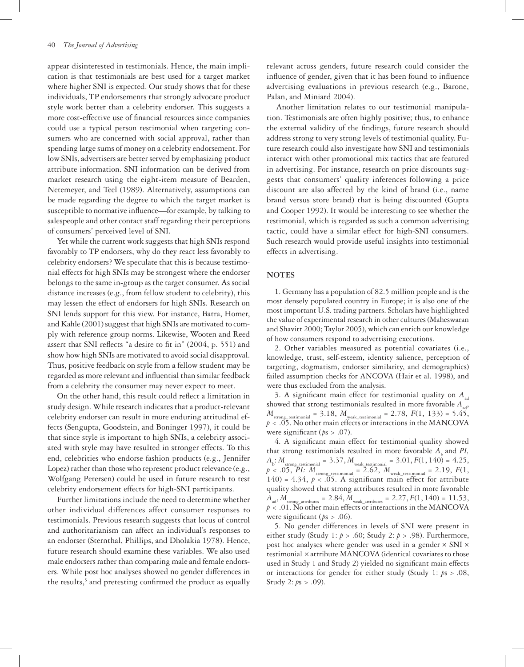appear disinterested in testimonials. Hence, the main implication is that testimonials are best used for a target market where higher SNI is expected. Our study shows that for these individuals, TP endorsements that strongly advocate product style work better than a celebrity endorser. This suggests a more cost-effective use of financial resources since companies could use a typical person testimonial when targeting consumers who are concerned with social approval, rather than spending large sums of money on a celebrity endorsement. For low SNIs, advertisers are better served by emphasizing product attribute information. SNI information can be derived from market research using the eight-item measure of Bearden, Netemeyer, and Teel (1989). Alternatively, assumptions can be made regarding the degree to which the target market is susceptible to normative influence—for example, by talking to salespeople and other contact staff regarding their perceptions of consumers' perceived level of SNI.

Yet while the current work suggests that high SNIs respond favorably to TP endorsers, why do they react less favorably to celebrity endorsers? We speculate that this is because testimonial effects for high SNIs may be strongest where the endorser belongs to the same in-group as the target consumer. As social distance increases (e.g., from fellow student to celebrity), this may lessen the effect of endorsers for high SNIs. Research on SNI lends support for this view. For instance, Batra, Homer, and Kahle (2001) suggest that high SNIs are motivated to comply with reference group norms. Likewise, Wooten and Reed assert that SNI reflects "a desire to fit in" (2004, p. 551) and show how high SNIs are motivated to avoid social disapproval. Thus, positive feedback on style from a fellow student may be regarded as more relevant and influential than similar feedback from a celebrity the consumer may never expect to meet.

On the other hand, this result could reflect a limitation in study design. While research indicates that a product-relevant celebrity endorser can result in more enduring attitudinal effects (Sengupta, Goodstein, and Boninger 1997), it could be that since style is important to high SNIs, a celebrity associated with style may have resulted in stronger effects. To this end, celebrities who endorse fashion products (e.g., Jennifer Lopez) rather than those who represent product relevance (e.g., Wolfgang Petersen) could be used in future research to test celebrity endorsement effects for high-SNI participants.

Further limitations include the need to determine whether other individual differences affect consumer responses to testimonials. Previous research suggests that locus of control and authoritarianism can affect an individual's responses to an endorser (Sternthal, Phillips, and Dholakia 1978). Hence, future research should examine these variables. We also used male endorsers rather than comparing male and female endorsers. While post hoc analyses showed no gender differences in the results,<sup>5</sup> and pretesting confirmed the product as equally

relevant across genders, future research could consider the influence of gender, given that it has been found to influence advertising evaluations in previous research (e.g., Barone, Palan, and Miniard 2004).

Another limitation relates to our testimonial manipulation. Testimonials are often highly positive; thus, to enhance the external validity of the findings, future research should address strong to very strong levels of testimonial quality. Future research could also investigate how SNI and testimonials interact with other promotional mix tactics that are featured in advertising. For instance, research on price discounts suggests that consumers' quality inferences following a price discount are also affected by the kind of brand (i.e., name brand versus store brand) that is being discounted (Gupta and Cooper 1992). It would be interesting to see whether the testimonial, which is regarded as such a common advertising tactic, could have a similar effect for high-SNI consumers. Such research would provide useful insights into testimonial effects in advertising.

#### **NOTES**

1. Germany has a population of 82.5 million people and is the most densely populated country in Europe; it is also one of the most important U.S. trading partners. Scholars have highlighted the value of experimental research in other cultures (Maheswaran and Shavitt 2000; Taylor 2005), which can enrich our knowledge of how consumers respond to advertising executions.

2. Other variables measured as potential covariates (i.e., knowledge, trust, self-esteem, identity salience, perception of targeting, dogmatism, endorser similarity, and demographics) failed assumption checks for ANCOVA (Hair et al. 1998), and were thus excluded from the analysis.

3. A significant main effect for testimonial quality on  $A_{ad}$ showed that strong testimonials resulted in more favorable  $A_{\scriptscriptstyle\rm ad}$  ,  $M_{\text{strong testimonial}} = 3.18$ ,  $M_{\text{weak testimonial}} = 2.78$ ,  $F(1, 133) = 5.45$ , *p* < .05. No other main effects or interactions in the MANCOVA were significant ( $ps > .07$ ).

4. A significant main effect for testimonial quality showed that strong testimonials resulted in more favorable  $A_k$  and  $PI$ ,  $A_{\rm b}$ :  $M_{\rm strong\_testimonial} = 3.37$ ,  $M_{\rm weak\_testimonial} = 3.01$ ,  $F(1, 140) = 4.25$ ,  $p < .05$ ,  $\overline{P}I$ :  $M_{\text{strong\_testimonial}} = 2.62$ ,  $M_{\text{weak\_testimonial}} = 2.19$ ,  $F(1, 1)$ 140) = 4.34,  $p < .05$ . A significant main effect for attribute quality showed that strong attributes resulted in more favorable  $A_{\text{ad}}$ ,  $M_{\text{strong attributes}} = 2.84$ ,  $M_{\text{weak attributes}} = 2.27$ ,  $F(1, 140) = 11.53$ , *p* < .01. No other main effects or interactions in the MANCOVA were significant (*p*s > .06).

5. No gender differences in levels of SNI were present in either study (Study 1: *p* > .60; Study 2: *p* > .98). Furthermore, post hoc analyses where gender was used in a gender  $\times$  SNI  $\times$ testimonial × attribute MANCOVA (identical covariates to those used in Study 1 and Study 2) yielded no significant main effects or interactions for gender for either study (Study 1: *p*s > .08, Study 2: *p*s > .09).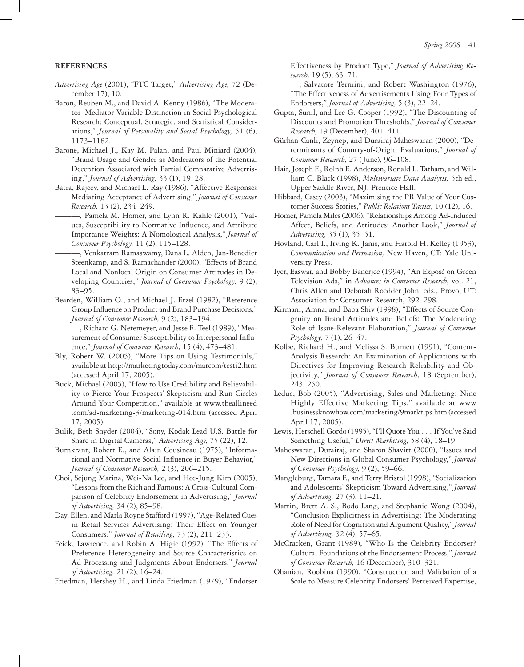### **REFERENCES**

- *Advertising Age* (2001), "FTC Target," *Advertising Age,* 72 (December 17), 10.
- Baron, Reuben M., and David A. Kenny (1986), "The Moderator–Mediator Variable Distinction in Social Psychological Research: Conceptual, Strategic, and Statistical Considerations," *Journal of Personality and Social Psychology,* 51 (6), 1173–1182.
- Barone, Michael J., Kay M. Palan, and Paul Miniard (2004), "Brand Usage and Gender as Moderators of the Potential Deception Associated with Partial Comparative Advertising," *Journal of Advertising,* 33 (1), 19–28.
- Batra, Rajeev, and Michael L. Ray (1986), "Affective Responses Mediating Acceptance of Advertising," *Journal of Consumer Research,* 13 (2), 234–249.
	- ———, Pamela M. Homer, and Lynn R. Kahle (2001), "Values, Susceptibility to Normative Influence, and Attribute Importance Weights: A Nomological Analysis," *Journal of Consumer Psychology,* 11 (2), 115–128.
- ———, Venkatram Ramaswamy, Dana L. Alden, Jan-Benedict Steenkamp, and S. Ramachander (2000), "Effects of Brand Local and Nonlocal Origin on Consumer Attitudes in Developing Countries," *Journal of Consumer Psychology,* 9 (2), 83–95.
- Bearden, William O., and Michael J. Etzel (1982), "Reference Group Influence on Product and Brand Purchase Decisions," *Journal of Consumer Research,* 9 (2), 183–194.

———, Richard G. Netemeyer, and Jesse E. Teel (1989), "Measurement of Consumer Susceptibility to Interpersonal Influence," *Journal of Consumer Research,* 15 (4), 473–481.

- Bly, Robert W. (2005), "More Tips on Using Testimonials," available at http://marketingtoday.com/marcom/testi2.htm (accessed April 17, 2005).
- Buck, Michael (2005), "How to Use Credibility and Believability to Pierce Your Prospects' Skepticism and Run Circles Around Your Competition," available at www.theallineed .com/ad-marketing-3/marketing-014.htm (accessed April 17, 2005).
- Bulik, Beth Snyder (2004), "Sony, Kodak Lead U.S. Battle for Share in Digital Cameras," *Advertising Age,* 75 (22), 12.
- Burnkrant, Robert E., and Alain Cousineau (1975), "Informational and Normative Social Influence in Buyer Behavior," *Journal of Consumer Research,* 2 (3), 206–215.
- Choi, Sejung Marina, Wei-Na Lee, and Hee-Jung Kim (2005), "Lessons from the Rich and Famous: A Cross-Cultural Comparison of Celebrity Endorsement in Advertising," *Journal of Advertising,* 34 (2), 85–98.
- Day, Ellen, and Marla Royne Stafford (1997), "Age-Related Cues in Retail Services Advertising: Their Effect on Younger Consumers," *Journal of Retailing,* 73 (2), 211–233.
- Feick, Lawrence, and Robin A. Higie (1992), "The Effects of Preference Heterogeneity and Source Characteristics on Ad Processing and Judgments About Endorsers," *Journal of Advertising,* 21 (2), 16–24.
- Friedman, Hershey H., and Linda Friedman (1979), "Endorser

Effectiveness by Product Type," *Journal of Advertising Research,* 19 (5), 63–71.

- -, Salvatore Termini, and Robert Washington (1976), "The Effectiveness of Advertisements Using Four Types of Endorsers," *Journal of Advertising,* 5 (3), 22–24.
- Gupta, Sunil, and Lee G. Cooper (1992), "The Discounting of Discounts and Promotion Thresholds," *Journal of Consumer Research,* 19 (December), 401–411.
- Gürhan-Canli, Zeynep, and Durairaj Maheswaran (2000), "Determinants of Country-of-Origin Evaluations," *Journal of Consumer Research,* 27 (June), 96–108.
- Hair, Joseph F., Rolph E. Anderson, Ronald L. Tatham, and William C. Black (1998), *Multivariate Data Analysis,* 5th ed., Upper Saddle River, NJ: Prentice Hall.
- Hibbard, Casey (2003), "Maximising the PR Value of Your Customer Success Stories," *Public Relations Tactics,* 10 (12), 16.
- Homer, Pamela Miles (2006), "Relationships Among Ad-Induced Affect, Beliefs, and Attitudes: Another Look," *Journal of Advertising,* 35 (1), 35–51.
- Hovland, Carl I., Irving K. Janis, and Harold H. Kelley (1953), *Communication and Persuasion,* New Haven, CT: Yale University Press.
- Iyer, Easwar, and Bobby Banerjee (1994), "An Exposé on Green Television Ads," in *Advances in Consumer Research,* vol. 21, Chris Allen and Deborah Roedder John, eds., Provo, UT: Association for Consumer Research, 292–298.
- Kirmani, Amna, and Baba Shiv (1998), "Effects of Source Congruity on Brand Attitudes and Beliefs: The Moderating Role of Issue-Relevant Elaboration," *Journal of Consumer Psychology,* 7 (1), 26–47.
- Kolbe, Richard H., and Melissa S. Burnett (1991), "Content-Analysis Research: An Examination of Applications with Directives for Improving Research Reliability and Objectivity," *Journal of Consumer Research,* 18 (September), 243–250.
- Leduc, Bob (2005), "Advertising, Sales and Marketing: Nine Highly Effective Marketing Tips," available at www .businessknowhow.com/marketing/9marktips.htm (accessed April 17, 2005).
- Lewis, Herschell Gordo (1995), "I'll Quote You . . . If You've Said Something Useful," *Direct Marketing,* 58 (4), 18–19.
- Maheswaran, Durairaj, and Sharon Shavitt (2000), "Issues and New Directions in Global Consumer Psychology," *Journal of Consumer Psychology,* 9 (2), 59–66.
- Mangleburg, Tamara F., and Terry Bristol (1998), "Socialization and Adolescents' Skepticism Toward Advertising," *Journal of Advertising,* 27 (3), 11–21.
- Martin, Brett A. S., Bodo Lang, and Stephanie Wong (2004), "Conclusion Explicitness in Advertising: The Moderating Role of Need for Cognition and Argument Quality," *Journal of Advertising,* 32 (4), 57–65.
- McCracken, Grant (1989), "Who Is the Celebrity Endorser? Cultural Foundations of the Endorsement Process," *Journal of Consumer Research,* 16 (December), 310–321.
- Ohanian, Roobina (1990), "Construction and Validation of a Scale to Measure Celebrity Endorsers' Perceived Expertise,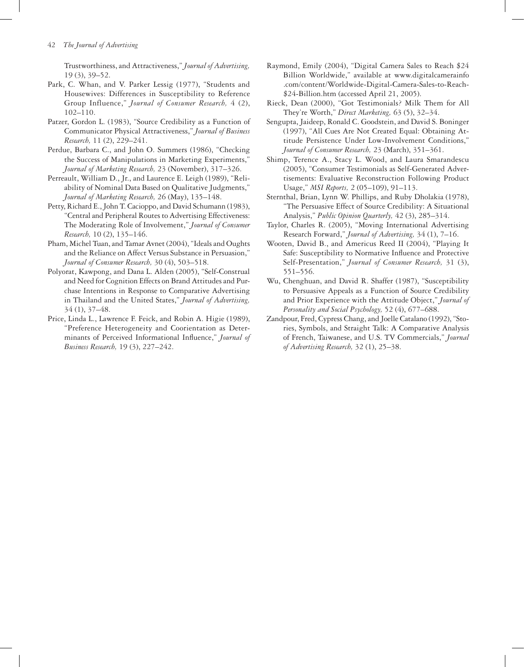Trustworthiness, and Attractiveness," *Journal of Advertising,* 19 (3), 39–52.

- Park, C. Whan, and V. Parker Lessig (1977), "Students and Housewives: Differences in Susceptibility to Reference Group Influence," *Journal of Consumer Research,* 4 (2), 102–110.
- Patzer, Gordon L. (1983), "Source Credibility as a Function of Communicator Physical Attractiveness," *Journal of Business Research,* 11 (2), 229–241.
- Perdue, Barbara C., and John O. Summers (1986), "Checking the Success of Manipulations in Marketing Experiments,' *Journal of Marketing Research,* 23 (November), 317–326.
- Perreault, William D., Jr., and Laurence E. Leigh (1989), "Reliability of Nominal Data Based on Qualitative Judgments," *Journal of Marketing Research,* 26 (May), 135–148.
- Petty, Richard E., John T. Cacioppo, and David Schumann (1983), "Central and Peripheral Routes to Advertising Effectiveness: The Moderating Role of Involvement," *Journal of Consumer Research,* 10 (2), 135–146.
- Pham, Michel Tuan, and Tamar Avnet (2004), "Ideals and Oughts and the Reliance on Affect Versus Substance in Persuasion," *Journal of Consumer Research,* 30 (4), 503–518.
- Polyorat, Kawpong, and Dana L. Alden (2005), "Self-Construal and Need for Cognition Effects on Brand Attitudes and Purchase Intentions in Response to Comparative Advertising in Thailand and the United States," *Journal of Advertising,* 34 (1), 37–48.
- Price, Linda L., Lawrence F. Feick, and Robin A. Higie (1989), "Preference Heterogeneity and Coorientation as Determinants of Perceived Informational Influence," *Journal of Business Research,* 19 (3), 227–242.
- Raymond, Emily (2004), "Digital Camera Sales to Reach \$24 Billion Worldwide," available at www.digitalcamerainfo .com/content/Worldwide-Digital-Camera-Sales-to-Reach- \$24-Billion.htm (accessed April 21, 2005).
- Rieck, Dean (2000), "Got Testimonials? Milk Them for All They're Worth," *Direct Marketing,* 63 (5), 32–34.
- Sengupta, Jaideep, Ronald C. Goodstein, and David S. Boninger (1997), "All Cues Are Not Created Equal: Obtaining Attitude Persistence Under Low-Involvement Conditions," *Journal of Consumer Research,* 23 (March), 351–361.
- Shimp, Terence A., Stacy L. Wood, and Laura Smarandescu (2005), "Consumer Testimonials as Self-Generated Advertisements: Evaluative Reconstruction Following Product Usage," *MSI Reports,* 2 (05–109), 91–113.
- Sternthal, Brian, Lynn W. Phillips, and Ruby Dholakia (1978), "The Persuasive Effect of Source Credibility: A Situational Analysis," *Public Opinion Quarterly,* 42 (3), 285–314.
- Taylor, Charles R. (2005), "Moving International Advertising Research Forward," *Journal of Advertising,* 34 (1), 7–16.
- Wooten, David B., and Americus Reed II (2004), "Playing It Safe: Susceptibility to Normative Influence and Protective Self-Presentation," *Journal of Consumer Research,* 31 (3), 551–556.
- Wu, Chenghuan, and David R. Shaffer (1987), "Susceptibility to Persuasive Appeals as a Function of Source Credibility and Prior Experience with the Attitude Object," *Journal of Personality and Social Psychology,* 52 (4), 677–688.
- Zandpour, Fred, Cypress Chang, and Joelle Catalano (1992), "Stories, Symbols, and Straight Talk: A Comparative Analysis of French, Taiwanese, and U.S. TV Commercials," *Journal of Advertising Research,* 32 (1), 25–38.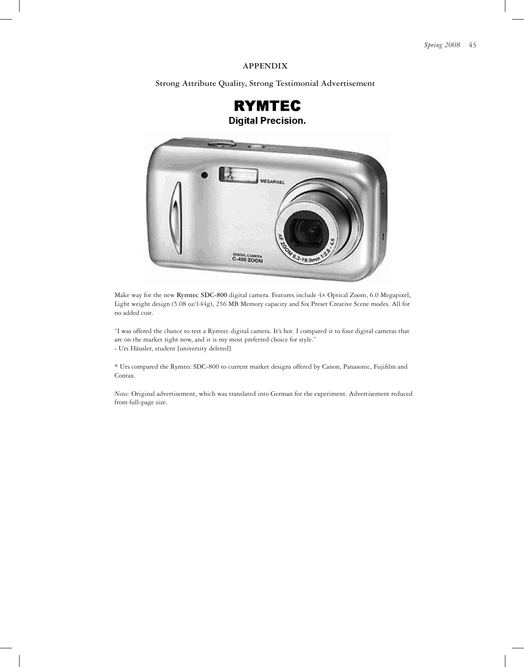# **APPENDIX**

**Strong Attribute Quality, Strong Testimonial Advertisement**





Make way for the new **Rymtec SDC-800** digital camera. Features include 4× Optical Zoom, 6.0 Megapixel, Light weight design (5.08 oz/144g), 256 MB Memory capacity and Six Preset Creative Scene modes. All for no added cost.

"I was offered the chance to test a Rymtec digital camera. It's hot. I compared it to four digital cameras that are on the market right now, and it is my most preferred choice for style." - Urs Häusler, student [university deleted]

\* Urs compared the Rymtec SDC-800 to current market designs offered by Canon, Panasonic, Fujifilm and Contax.

*Notes:* Original advertisement, which was translated into German for the experiment. Advertisement reduced from full-page size.